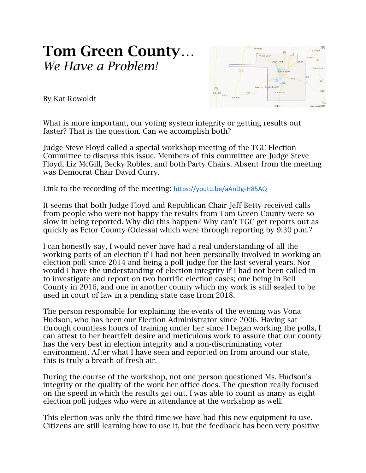## Tom Green County… *We Have a Problem!*



By Kat Rowoldt

What is more important, our voting system integrity or getting results out faster? That is the question. Can we accomplish both?

Judge Steve Floyd called a special workshop meeting of the TGC Election Committee to discuss this issue. Members of this committee are Judge Steve Floyd, Liz McGill, Becky Robles, and both Party Chairs. Absent from the meeting was Democrat Chair David Curry.

Link to the recording of the meeting: <https://youtu.be/aAnDg-H85AQ>

It seems that both Judge Floyd and Republican Chair Jeff Betty received calls from people who were not happy the results from Tom Green County were so slow in being reported. Why did this happen? Why can't TGC get reports out as quickly as Ector County (Odessa) which were through reporting by 9:30 p.m.?

I can honestly say, I would never have had a real understanding of all the working parts of an election if I had not been personally involved in working an election poll since 2014 and being a poll judge for the last several years. Nor would I have the understanding of election integrity if I had not been called in to investigate and report on two horrific election cases; one being in Bell County in 2016, and one in another county which my work is still sealed to be used in court of law in a pending state case from 2018.

The person responsible for explaining the events of the evening was Vona Hudson, who has been our Election Administrator since 2006. Having sat through countless hours of training under her since I began working the polls, I can attest to her heartfelt desire and meticulous work to assure that our county has the very best in election integrity and a non-discriminating voter environment. After what I have seen and reported on from around our state, this is truly a breath of fresh air.

During the course of the workshop, not one person questioned Ms. Hudson's integrity or the quality of the work her office does. The question really focused on the speed in which the results get out. I was able to count as many as eight election poll judges who were in attendance at the workshop as well.

This election was only the third time we have had this new equipment to use. Citizens are still learning how to use it, but the feedback has been very positive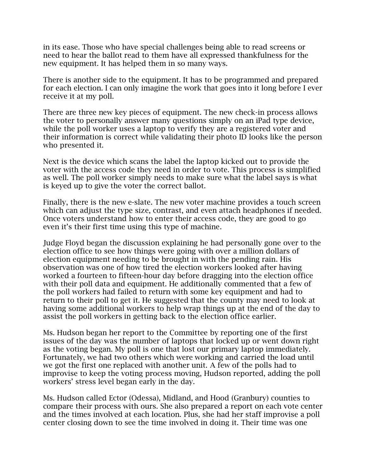in its ease. Those who have special challenges being able to read screens or need to hear the ballot read to them have all expressed thankfulness for the new equipment. It has helped them in so many ways.

There is another side to the equipment. It has to be programmed and prepared for each election. I can only imagine the work that goes into it long before I ever receive it at my poll.

There are three new key pieces of equipment. The new check-in process allows the voter to personally answer many questions simply on an iPad type device, while the poll worker uses a laptop to verify they are a registered voter and their information is correct while validating their photo ID looks like the person who presented it.

Next is the device which scans the label the laptop kicked out to provide the voter with the access code they need in order to vote. This process is simplified as well. The poll worker simply needs to make sure what the label says is what is keyed up to give the voter the correct ballot.

Finally, there is the new e-slate. The new voter machine provides a touch screen which can adjust the type size, contrast, and even attach headphones if needed. Once voters understand how to enter their access code, they are good to go even it's their first time using this type of machine.

Judge Floyd began the discussion explaining he had personally gone over to the election office to see how things were going with over a million dollars of election equipment needing to be brought in with the pending rain. His observation was one of how tired the election workers looked after having worked a fourteen to fifteen-hour day before dragging into the election office with their poll data and equipment. He additionally commented that a few of the poll workers had failed to return with some key equipment and had to return to their poll to get it. He suggested that the county may need to look at having some additional workers to help wrap things up at the end of the day to assist the poll workers in getting back to the election office earlier.

Ms. Hudson began her report to the Committee by reporting one of the first issues of the day was the number of laptops that locked up or went down right as the voting began. My poll is one that lost our primary laptop immediately. Fortunately, we had two others which were working and carried the load until we got the first one replaced with another unit. A few of the polls had to improvise to keep the voting process moving, Hudson reported, adding the poll workers' stress level began early in the day.

Ms. Hudson called Ector (Odessa), Midland, and Hood (Granbury) counties to compare their process with ours. She also prepared a report on each vote center and the times involved at each location. Plus, she had her staff improvise a poll center closing down to see the time involved in doing it. Their time was one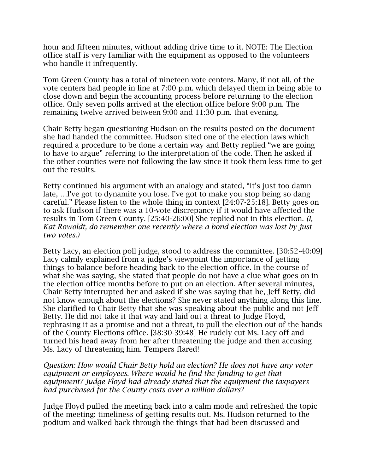hour and fifteen minutes, without adding drive time to it. NOTE: The Election office staff is very familiar with the equipment as opposed to the volunteers who handle it infrequently.

Tom Green County has a total of nineteen vote centers. Many, if not all, of the vote centers had people in line at 7:00 p.m. which delayed them in being able to close down and begin the accounting process before returning to the election office. Only seven polls arrived at the election office before 9:00 p.m. The remaining twelve arrived between 9:00 and 11:30 p.m. that evening.

Chair Betty began questioning Hudson on the results posted on the document she had handed the committee. Hudson sited one of the election laws which required a procedure to be done a certain way and Betty replied "we are going to have to argue" referring to the interpretation of the code. Then he asked if the other counties were not following the law since it took them less time to get out the results.

Betty continued his argument with an analogy and stated, "it's just too damn late, …I've got to dynamite you lose. I've got to make you stop being so dang careful." Please listen to the whole thing in context [24:07-25:18]. Betty goes on to ask Hudson if there was a 10-vote discrepancy if it would have affected the results in Tom Green County. [25:40-26:00] She replied not in this election. *(I, Kat Rowoldt, do remember one recently where a bond election was lost by just two votes.)*

Betty Lacy, an election poll judge, stood to address the committee. [30:52-40:09] Lacy calmly explained from a judge's viewpoint the importance of getting things to balance before heading back to the election office. In the course of what she was saying, she stated that people do not have a clue what goes on in the election office months before to put on an election. After several minutes, Chair Betty interrupted her and asked if she was saying that he, Jeff Betty, did not know enough about the elections? She never stated anything along this line. She clarified to Chair Betty that she was speaking about the public and not Jeff Betty. He did not take it that way and laid out a threat to Judge Floyd, rephrasing it as a promise and not a threat, to pull the election out of the hands of the County Elections office. [38:30-39:48] He rudely cut Ms. Lacy off and turned his head away from her after threatening the judge and then accusing Ms. Lacy of threatening him. Tempers flared!

*Question: How would Chair Betty hold an election? He does not have any voter equipment or employees. Where would he find the funding to get that equipment? Judge Floyd had already stated that the equipment the taxpayers had purchased for the County costs over a million dollars?* 

Judge Floyd pulled the meeting back into a calm mode and refreshed the topic of the meeting: timeliness of getting results out. Ms. Hudson returned to the podium and walked back through the things that had been discussed and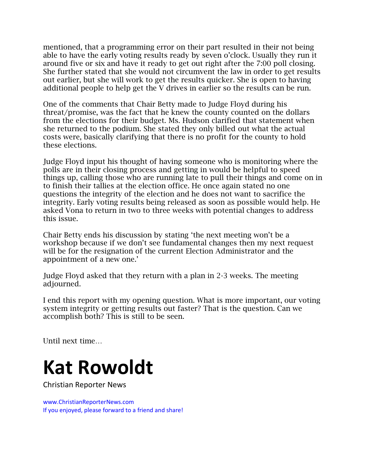mentioned, that a programming error on their part resulted in their not being able to have the early voting results ready by seven o'clock. Usually they run it around five or six and have it ready to get out right after the 7:00 poll closing. She further stated that she would not circumvent the law in order to get results out earlier, but she will work to get the results quicker. She is open to having additional people to help get the V drives in earlier so the results can be run.

One of the comments that Chair Betty made to Judge Floyd during his threat/promise, was the fact that he knew the county counted on the dollars from the elections for their budget. Ms. Hudson clarified that statement when she returned to the podium. She stated they only billed out what the actual costs were, basically clarifying that there is no profit for the county to hold these elections.

Judge Floyd input his thought of having someone who is monitoring where the polls are in their closing process and getting in would be helpful to speed things up, calling those who are running late to pull their things and come on in to finish their tallies at the election office. He once again stated no one questions the integrity of the election and he does not want to sacrifice the integrity. Early voting results being released as soon as possible would help. He asked Vona to return in two to three weeks with potential changes to address this issue.

Chair Betty ends his discussion by stating 'the next meeting won't be a workshop because if we don't see fundamental changes then my next request will be for the resignation of the current Election Administrator and the appointment of a new one.'

Judge Floyd asked that they return with a plan in 2-3 weeks. The meeting adjourned.

I end this report with my opening question. What is more important, our voting system integrity or getting results out faster? That is the question. Can we accomplish both? This is still to be seen.

Until next time…

## **Kat Rowoldt**

Christian Reporter News

www.ChristianReporterNews.com If you enjoyed, please forward to a friend and share!